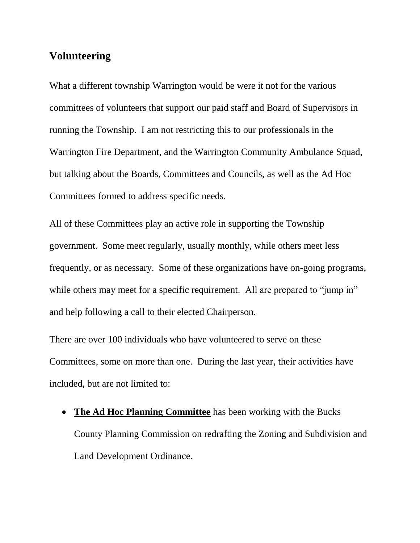## **Volunteering**

What a different township Warrington would be were it not for the various committees of volunteers that support our paid staff and Board of Supervisors in running the Township. I am not restricting this to our professionals in the Warrington Fire Department, and the Warrington Community Ambulance Squad, but talking about the Boards, Committees and Councils, as well as the Ad Hoc Committees formed to address specific needs.

All of these Committees play an active role in supporting the Township government. Some meet regularly, usually monthly, while others meet less frequently, or as necessary. Some of these organizations have on-going programs, while others may meet for a specific requirement. All are prepared to "jump in" and help following a call to their elected Chairperson.

There are over 100 individuals who have volunteered to serve on these Committees, some on more than one. During the last year, their activities have included, but are not limited to:

 **The Ad Hoc Planning Committee** has been working with the Bucks County Planning Commission on redrafting the Zoning and Subdivision and Land Development Ordinance.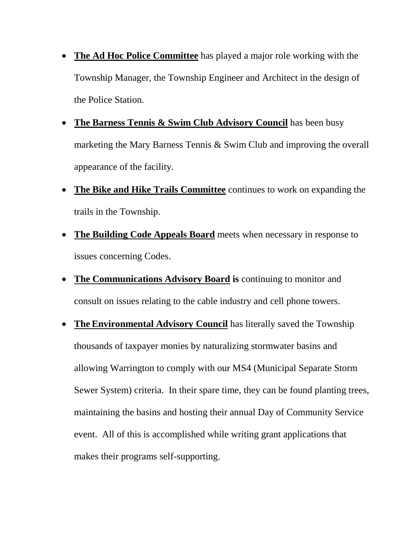- **The Ad Hoc Police Committee** has played a major role working with the Township Manager, the Township Engineer and Architect in the design of the Police Station.
- **The Barness Tennis & Swim Club Advisory Council** has been busy marketing the Mary Barness Tennis & Swim Club and improving the overall appearance of the facility.
- **The [Bike and Hike Trails Committee](http://www.warringtontownship.org/government/advisory-boards/bike-hike-trails-committee/)** continues to work on expanding the trails in the Township.
- **The [Building Code Appeals Board](http://www.warringtontownship.org/government/advisory-boards/building-code-appeals-board/)** meets when necessary in response to issues concerning Codes.
- **The [Communications Advisory Board](http://www.warringtontownship.org/government/advisory-boards/communications-advisory-board/) is** continuing to monitor and consult on issues relating to the cable industry and cell phone towers.
- **The [Environmental](http://www.warringtontownship.org/government/advisory-boards/environmental-advisory-council/) Advisory Council** has literally saved the Township thousands of taxpayer monies by naturalizing stormwater basins and allowing Warrington to comply with our MS4 (Municipal Separate Storm Sewer System) criteria. In their spare time, they can be found planting trees, maintaining the basins and hosting their annual Day of Community Service event. All of this is accomplished while writing grant applications that makes their programs self-supporting.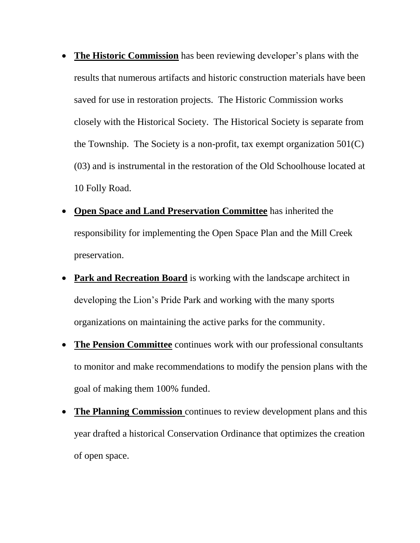- **The [Historic Commission](http://www.warringtontownship.org/government/advisory-boards/historic-commission/)** has been reviewing developer's plans with the results that numerous artifacts and historic construction materials have been saved for use in restoration projects. The Historic Commission works closely with the Historical Society. The Historical Society is separate from the Township. The Society is a non-profit, tax exempt organization  $501(C)$ (03) and is instrumental in the restoration of the Old Schoolhouse located at 10 Folly Road.
- **[Open Space and Land Preservation Committee](http://www.warringtontownship.org/government/advisory-boards/open-space-and-land-preservation-committee/)** has inherited the responsibility for implementing the Open Space Plan and the Mill Creek preservation.
- **[Park and Recreation Board](http://www.warringtontownship.org/government/advisory-boards/park-recreation-board/)** is working with the landscape architect in developing the Lion's Pride Park and working with the many sports organizations on maintaining the active parks for the community.
- **The Pension Committee** continues work with our professional consultants to monitor and make recommendations to modify the pension plans with the goal of making them 100% funded.
- The Planning Commission continues to review development plans and this year drafted a historical Conservation Ordinance that optimizes the creation of open space.